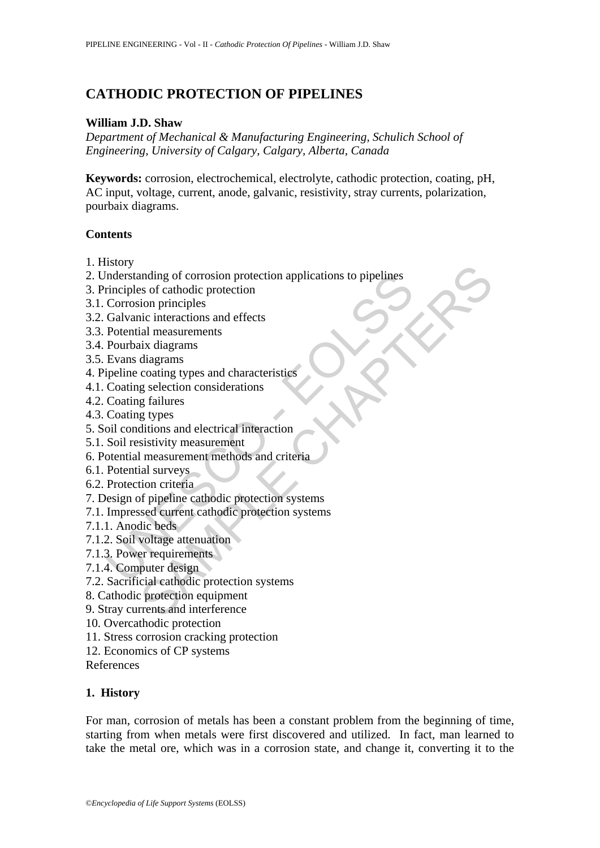# **CATHODIC PROTECTION OF PIPELINES**

#### **William J.D. Shaw**

*Department of Mechanical & Manufacturing Engineering, Schulich School of Engineering, University of Calgary, Calgary, Alberta, Canada* 

**Keywords:** corrosion, electrochemical, electrolyte, cathodic protection, coating, pH, AC input, voltage, current, anode, galvanic, resistivity, stray currents, polarization, pourbaix diagrams.

#### **Contents**

- 1. History
- Inderstanding of corrosion protection applications to pipelines<br>
rinciples of cathodic protection<br>
Crorssion principles<br>
Galvanic interactions and effects<br>
Potential measurements<br>
Pourbaix diagrams<br>
Evans diagrams<br>
Evans d and<br>
in the set of cathodic protection<br>
set of cathodic protection<br>
ion principles<br>
ince interactions and effects<br>
ial measurements<br>
ix diagrams<br>
diagrams<br>
diagrams<br>
g signes<br>
g signes<br>
g signes<br>
g signes<br>
g signes<br>
g sign 2. Understanding of corrosion protection applications to pipelines
- 3. Principles of cathodic protection
- 3.1. Corrosion principles
- 3.2. Galvanic interactions and effects
- 3.3. Potential measurements
- 3.4. Pourbaix diagrams
- 3.5. Evans diagrams
- 4. Pipeline coating types and characteristics
- 4.1. Coating selection considerations
- 4.2. Coating failures
- 4.3. Coating types
- 5. Soil conditions and electrical interaction
- 5.1. Soil resistivity measurement
- 6. Potential measurement methods and criteria
- 6.1. Potential surveys
- 6.2. Protection criteria
- 7. Design of pipeline cathodic protection systems
- 7.1. Impressed current cathodic protection systems
- 7.1.1. Anodic beds
- 7.1.2. Soil voltage attenuation
- 7.1.3. Power requirements
- 7.1.4. Computer design
- 7.2. Sacrificial cathodic protection systems
- 8. Cathodic protection equipment
- 9. Stray currents and interference
- 10. Overcathodic protection
- 11. Stress corrosion cracking protection
- 12. Economics of CP systems
- References

## **1. History**

For man, corrosion of metals has been a constant problem from the beginning of time, starting from when metals were first discovered and utilized. In fact, man learned to take the metal ore, which was in a corrosion state, and change it, converting it to the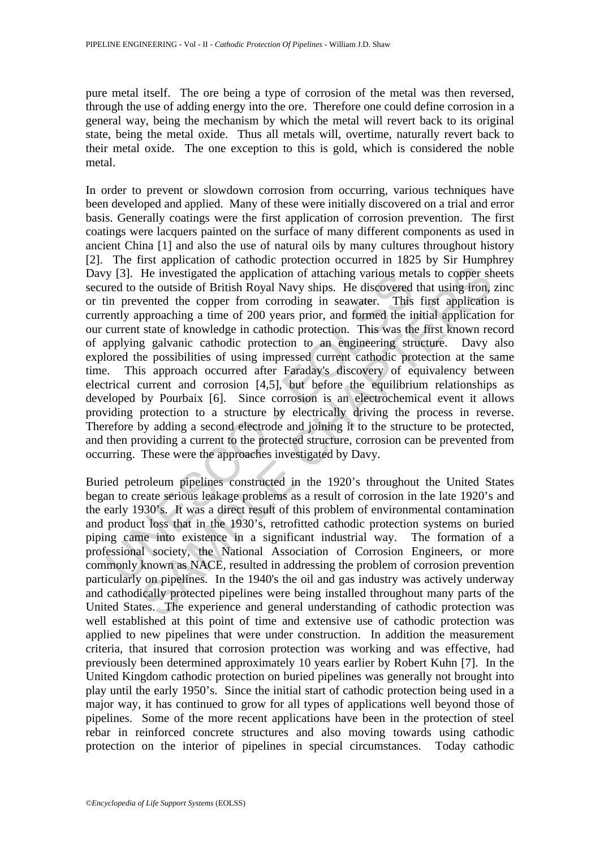pure metal itself. The ore being a type of corrosion of the metal was then reversed, through the use of adding energy into the ore. Therefore one could define corrosion in a general way, being the mechanism by which the metal will revert back to its original state, being the metal oxide. Thus all metals will, overtime, naturally revert back to their metal oxide. The one exception to this is gold, which is considered the noble metal.

y [3]. He investigated the application of attaching various met<br>the ore to the outside of British Royal Navy ships. He discovered<br>in prevented the copper from corroding in seawater. This<br>ently approaching a time of 200 yea He investigated the application of attaching various metals to copper sh<br>the investigated the application of attaching various metals to copper sh<br>the outside of British Royal Navy ships. He discovered that using iron,<br>ver In order to prevent or slowdown corrosion from occurring, various techniques have been developed and applied. Many of these were initially discovered on a trial and error basis. Generally coatings were the first application of corrosion prevention. The first coatings were lacquers painted on the surface of many different components as used in ancient China [1] and also the use of natural oils by many cultures throughout history [2]. The first application of cathodic protection occurred in 1825 by Sir Humphrey Davy [3]. He investigated the application of attaching various metals to copper sheets secured to the outside of British Royal Navy ships. He discovered that using iron, zinc or tin prevented the copper from corroding in seawater. This first application is currently approaching a time of 200 years prior, and formed the initial application for our current state of knowledge in cathodic protection. This was the first known record of applying galvanic cathodic protection to an engineering structure. Davy also explored the possibilities of using impressed current cathodic protection at the same time. This approach occurred after Faraday's discovery of equivalency between electrical current and corrosion [4,5], but before the equilibrium relationships as developed by Pourbaix [6]. Since corrosion is an electrochemical event it allows providing protection to a structure by electrically driving the process in reverse. Therefore by adding a second electrode and joining it to the structure to be protected, and then providing a current to the protected structure, corrosion can be prevented from occurring. These were the approaches investigated by Davy.

Buried petroleum pipelines constructed in the 1920's throughout the United States began to create serious leakage problems as a result of corrosion in the late 1920's and the early 1930's. It was a direct result of this problem of environmental contamination and product loss that in the 1930's, retrofitted cathodic protection systems on buried piping came into existence in a significant industrial way. The formation of a professional society, the National Association of Corrosion Engineers, or more commonly known as NACE, resulted in addressing the problem of corrosion prevention particularly on pipelines. In the 1940's the oil and gas industry was actively underway and cathodically protected pipelines were being installed throughout many parts of the United States. The experience and general understanding of cathodic protection was well established at this point of time and extensive use of cathodic protection was applied to new pipelines that were under construction. In addition the measurement criteria, that insured that corrosion protection was working and was effective, had previously been determined approximately 10 years earlier by Robert Kuhn [7]. In the United Kingdom cathodic protection on buried pipelines was generally not brought into play until the early 1950's. Since the initial start of cathodic protection being used in a major way, it has continued to grow for all types of applications well beyond those of pipelines. Some of the more recent applications have been in the protection of steel rebar in reinforced concrete structures and also moving towards using cathodic protection on the interior of pipelines in special circumstances. Today cathodic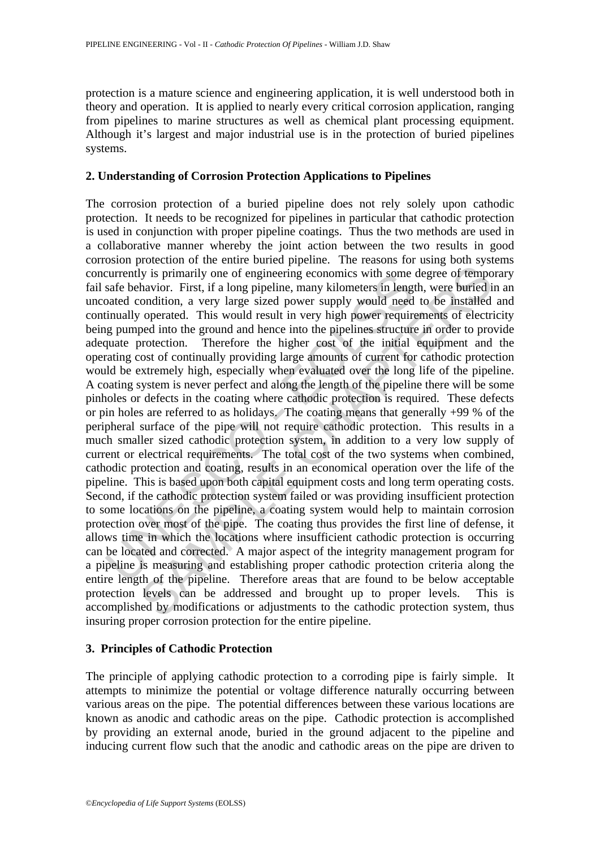protection is a mature science and engineering application, it is well understood both in theory and operation. It is applied to nearly every critical corrosion application, ranging from pipelines to marine structures as well as chemical plant processing equipment. Although it's largest and major industrial use is in the protection of buried pipelines systems.

#### **2. Understanding of Corrosion Protection Applications to Pipelines**

currently is primarily one of engineering economics with some<br>safe behavior. First, if a long pipeline, many kilometers in lengt<br>oated condition, a very large sized power supply would need<br>tinually operated. This would res ly is primarily one of engineering economics with some degree of tempo<br>havior. First, if a long pipeline, many kilometers in length, were buried in<br>ondition, a very large sized power supply would reed to be installed<br>or op The corrosion protection of a buried pipeline does not rely solely upon cathodic protection. It needs to be recognized for pipelines in particular that cathodic protection is used in conjunction with proper pipeline coatings. Thus the two methods are used in a collaborative manner whereby the joint action between the two results in good corrosion protection of the entire buried pipeline. The reasons for using both systems concurrently is primarily one of engineering economics with some degree of temporary fail safe behavior. First, if a long pipeline, many kilometers in length, were buried in an uncoated condition, a very large sized power supply would need to be installed and continually operated. This would result in very high power requirements of electricity being pumped into the ground and hence into the pipelines structure in order to provide adequate protection. Therefore the higher cost of the initial equipment and the operating cost of continually providing large amounts of current for cathodic protection would be extremely high, especially when evaluated over the long life of the pipeline. A coating system is never perfect and along the length of the pipeline there will be some pinholes or defects in the coating where cathodic protection is required. These defects or pin holes are referred to as holidays. The coating means that generally +99 % of the peripheral surface of the pipe will not require cathodic protection. This results in a much smaller sized cathodic protection system, in addition to a very low supply of current or electrical requirements. The total cost of the two systems when combined, cathodic protection and coating, results in an economical operation over the life of the pipeline. This is based upon both capital equipment costs and long term operating costs. Second, if the cathodic protection system failed or was providing insufficient protection to some locations on the pipeline, a coating system would help to maintain corrosion protection over most of the pipe. The coating thus provides the first line of defense, it allows time in which the locations where insufficient cathodic protection is occurring can be located and corrected. A major aspect of the integrity management program for a pipeline is measuring and establishing proper cathodic protection criteria along the entire length of the pipeline. Therefore areas that are found to be below acceptable protection levels can be addressed and brought up to proper levels. This is accomplished by modifications or adjustments to the cathodic protection system, thus insuring proper corrosion protection for the entire pipeline.

## **3. Principles of Cathodic Protection**

The principle of applying cathodic protection to a corroding pipe is fairly simple. It attempts to minimize the potential or voltage difference naturally occurring between various areas on the pipe. The potential differences between these various locations are known as anodic and cathodic areas on the pipe. Cathodic protection is accomplished by providing an external anode, buried in the ground adjacent to the pipeline and inducing current flow such that the anodic and cathodic areas on the pipe are driven to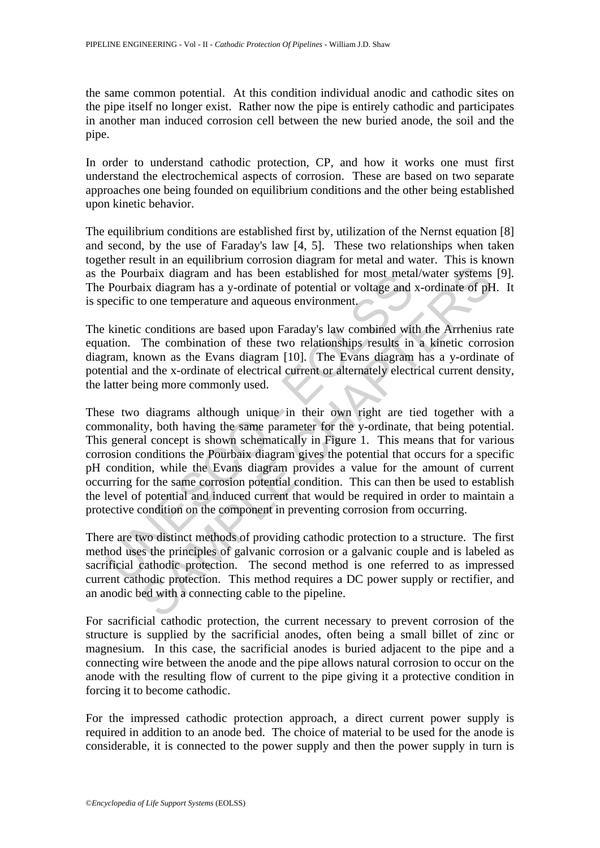the same common potential. At this condition individual anodic and cathodic sites on the pipe itself no longer exist. Rather now the pipe is entirely cathodic and participates in another man induced corrosion cell between the new buried anode, the soil and the pipe.

In order to understand cathodic protection, CP, and how it works one must first understand the electrochemical aspects of corrosion. These are based on two separate approaches one being founded on equilibrium conditions and the other being established upon kinetic behavior.

The equilibrium conditions are established first by, utilization of the Nernst equation [8] and second, by the use of Faraday's law [4, 5]. These two relationships when taken together result in an equilibrium corrosion diagram for metal and water. This is known as the Pourbaix diagram and has been established for most metal/water systems [9]. The Pourbaix diagram has a y-ordinate of potential or voltage and x-ordinate of pH. It is specific to one temperature and aqueous environment.

The kinetic conditions are based upon Faraday's law combined with the Arrhenius rate equation. The combination of these two relationships results in a kinetic corrosion diagram, known as the Evans diagram [10]. The Evans diagram has a y-ordinate of potential and the x-ordinate of electrical current or alternately electrical current density, the latter being more commonly used.

The Pourbaix diagram and has been established for most meta<br>
Pourbaix diagram has a y-ordinate of potential or voltage and<br>
eecific to one temperature and aqueous environment.<br>
kinetic conditions are based upon Faraday's l Theix diagram and has been established for most metal/water systems<br>aix diagram and has been established for most metal/water systems<br>aix diagram has a y-ordinate of potential or voltage and x-ordinate of pH<br>to one tempera These two diagrams although unique in their own right are tied together with a commonality, both having the same parameter for the y-ordinate, that being potential. This general concept is shown schematically in Figure 1. This means that for various corrosion conditions the Pourbaix diagram gives the potential that occurs for a specific pH condition, while the Evans diagram provides a value for the amount of current occurring for the same corrosion potential condition. This can then be used to establish the level of potential and induced current that would be required in order to maintain a protective condition on the component in preventing corrosion from occurring.

There are two distinct methods of providing cathodic protection to a structure. The first method uses the principles of galvanic corrosion or a galvanic couple and is labeled as sacrificial cathodic protection. The second method is one referred to as impressed current cathodic protection. This method requires a DC power supply or rectifier, and an anodic bed with a connecting cable to the pipeline.

For sacrificial cathodic protection, the current necessary to prevent corrosion of the structure is supplied by the sacrificial anodes, often being a small billet of zinc or magnesium. In this case, the sacrificial anodes is buried adjacent to the pipe and a connecting wire between the anode and the pipe allows natural corrosion to occur on the anode with the resulting flow of current to the pipe giving it a protective condition in forcing it to become cathodic.

For the impressed cathodic protection approach, a direct current power supply is required in addition to an anode bed. The choice of material to be used for the anode is considerable, it is connected to the power supply and then the power supply in turn is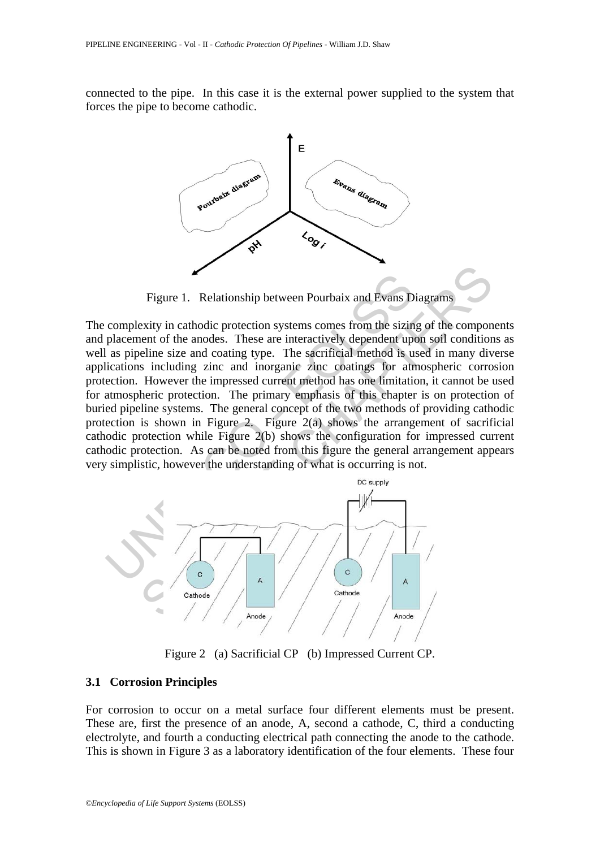connected to the pipe. In this case it is the external power supplied to the system that forces the pipe to become cathodic.



Figure 1. Relationship between Pourbaix and Evans Diagrams

Figure 1. Relationship between Pourbaix and Evans D<br>complexity in cathodic protection systems comes from the sizin<br>placement of the anodes. These are interactively dependent up<br>a spieline size and coating type. The sacrifi Figure 1. Relationship between Pourbaix and Evans Diagrams<br>
exity in cathodic protection systems comes from the sizing of the component<br>
beline size and coating type. The sacrificial method is used in many div<br>
beline siz The complexity in cathodic protection systems comes from the sizing of the components and placement of the anodes. These are interactively dependent upon soil conditions as well as pipeline size and coating type. The sacrificial method is used in many diverse applications including zinc and inorganic zinc coatings for atmospheric corrosion protection. However the impressed current method has one limitation, it cannot be used for atmospheric protection. The primary emphasis of this chapter is on protection of buried pipeline systems. The general concept of the two methods of providing cathodic protection is shown in Figure 2. Figure 2(a) shows the arrangement of sacrificial cathodic protection while Figure 2(b) shows the configuration for impressed current cathodic protection. As can be noted from this figure the general arrangement appears very simplistic, however the understanding of what is occurring is not.



Figure 2 (a) Sacrificial CP (b) Impressed Current CP.

## **3.1 Corrosion Principles**

For corrosion to occur on a metal surface four different elements must be present. These are, first the presence of an anode, A, second a cathode, C, third a conducting electrolyte, and fourth a conducting electrical path connecting the anode to the cathode. This is shown in Figure 3 as a laboratory identification of the four elements. These four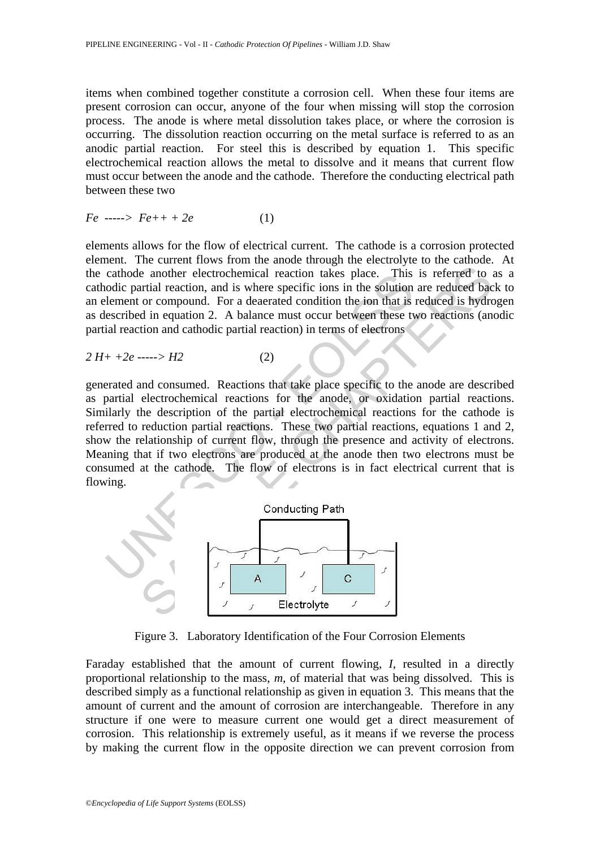items when combined together constitute a corrosion cell. When these four items are present corrosion can occur, anyone of the four when missing will stop the corrosion process. The anode is where metal dissolution takes place, or where the corrosion is occurring. The dissolution reaction occurring on the metal surface is referred to as an anodic partial reaction. For steel this is described by equation 1. This specific electrochemical reaction allows the metal to dissolve and it means that current flow must occur between the anode and the cathode. Therefore the conducting electrical path between these two

$$
Fe \ \cdots \!\! \to Fe \! + \! + 2e \tag{1}
$$

elements allows for the flow of electrical current. The cathode is a corrosion protected element. The current flows from the anode through the electrolyte to the cathode. At the cathode another electrochemical reaction takes place. This is referred to as a cathodic partial reaction, and is where specific ions in the solution are reduced back to an element or compound. For a deaerated condition the ion that is reduced is hydrogen as described in equation 2. A balance must occur between these two reactions (anodic partial reaction and cathodic partial reaction) in terms of electrons

$$
2 H + +2e --- D = H2
$$
 (2)

cathode another electrochemical reaction takes place. This<br>oddic partial reaction, and is where specific ions in the solution<br>element or compound. For a deaerated condition the ion that is<br>escribed in equation 2. A balanc e another electrochemical reaction takes place. This is referred to a<br>
e another electrochemical reaction takes place. This is referred to a<br>
or compound. For a decarated condition the ion that is reduced based<br>
or compou generated and consumed. Reactions that take place specific to the anode are described as partial electrochemical reactions for the anode, or oxidation partial reactions. Similarly the description of the partial electrochemical reactions for the cathode is referred to reduction partial reactions. These two partial reactions, equations 1 and 2, show the relationship of current flow, through the presence and activity of electrons. Meaning that if two electrons are produced at the anode then two electrons must be consumed at the cathode. The flow of electrons is in fact electrical current that is flowing.



Figure 3. Laboratory Identification of the Four Corrosion Elements

Faraday established that the amount of current flowing, *I*, resulted in a directly proportional relationship to the mass, *m*, of material that was being dissolved. This is described simply as a functional relationship as given in equation 3. This means that the amount of current and the amount of corrosion are interchangeable. Therefore in any structure if one were to measure current one would get a direct measurement of corrosion. This relationship is extremely useful, as it means if we reverse the process by making the current flow in the opposite direction we can prevent corrosion from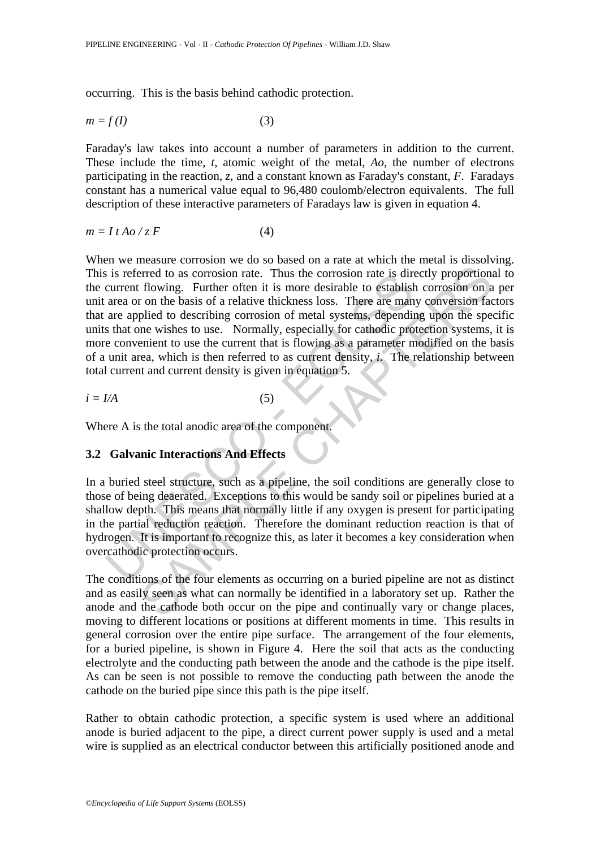occurring. This is the basis behind cathodic protection.

$$
m = f(I) \tag{3}
$$

Faraday's law takes into account a number of parameters in addition to the current. These include the time, *t*, atomic weight of the metal, *Ao*, the number of electrons participating in the reaction, *z*, and a constant known as Faraday's constant, *F*. Faradays constant has a numerical value equal to 96,480 coulomb/electron equivalents. The full description of these interactive parameters of Faradays law is given in equation 4.

$$
m = I t A o / z F \tag{4}
$$

is referred to as corrosion rate. Thus the corrosion rate is direct<br>current flowing. Further often it is more desirable to establist<br>area or on the basis of a relative thickness loss. There are man<br>are applied to describin Fired to as corrosion rate. Thus the corrosion rate is directly proportions<br>for the same of a relative thickens loss. There are many conversion on a<br>not on the basis of a relative thickness loss. There are many conversion When we measure corrosion we do so based on a rate at which the metal is dissolving. This is referred to as corrosion rate. Thus the corrosion rate is directly proportional to the current flowing. Further often it is more desirable to establish corrosion on a per unit area or on the basis of a relative thickness loss. There are many conversion factors that are applied to describing corrosion of metal systems, depending upon the specific units that one wishes to use. Normally, especially for cathodic protection systems, it is more convenient to use the current that is flowing as a parameter modified on the basis of a unit area, which is then referred to as current density, *i*. The relationship between total current and current density is given in equation 5.

$$
i = I/A \tag{5}
$$

Where A is the total anodic area of the component.

#### **3.2 Galvanic Interactions And Effects**

In a buried steel structure, such as a pipeline, the soil conditions are generally close to those of being deaerated. Exceptions to this would be sandy soil or pipelines buried at a shallow depth. This means that normally little if any oxygen is present for participating in the partial reduction reaction. Therefore the dominant reduction reaction is that of hydrogen. It is important to recognize this, as later it becomes a key consideration when overcathodic protection occurs.

The conditions of the four elements as occurring on a buried pipeline are not as distinct and as easily seen as what can normally be identified in a laboratory set up. Rather the anode and the cathode both occur on the pipe and continually vary or change places, moving to different locations or positions at different moments in time. This results in general corrosion over the entire pipe surface. The arrangement of the four elements, for a buried pipeline, is shown in Figure 4. Here the soil that acts as the conducting electrolyte and the conducting path between the anode and the cathode is the pipe itself. As can be seen is not possible to remove the conducting path between the anode the cathode on the buried pipe since this path is the pipe itself.

Rather to obtain cathodic protection, a specific system is used where an additional anode is buried adjacent to the pipe, a direct current power supply is used and a metal wire is supplied as an electrical conductor between this artificially positioned anode and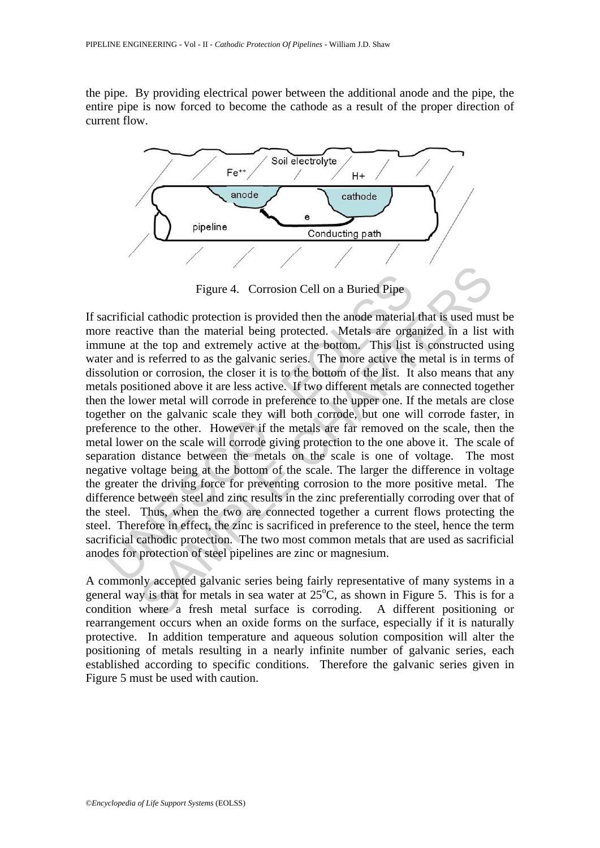the pipe. By providing electrical power between the additional anode and the pipe, the entire pipe is now forced to become the cathode as a result of the proper direction of current flow.



Figure 4. Corrosion Cell on a Buried Pipe

Figure 4. Corrosion Cell on a Buried Pipe<br>rerificial cathodic protection is provided then the anode material<br>e reactive than the material being protected. Metals are orga<br>une at the top and extremely active at the bottom. Figure 4. Corrosion Cell on a Buried Pipe<br>
Il cathodic protection is provided then the anode material that is used musive than the material being protected. Metals are organized in a list the top and extremely active at t If sacrificial cathodic protection is provided then the anode material that is used must be more reactive than the material being protected. Metals are organized in a list with immune at the top and extremely active at the bottom. This list is constructed using water and is referred to as the galvanic series. The more active the metal is in terms of dissolution or corrosion, the closer it is to the bottom of the list. It also means that any metals positioned above it are less active. If two different metals are connected together then the lower metal will corrode in preference to the upper one. If the metals are close together on the galvanic scale they will both corrode, but one will corrode faster, in preference to the other. However if the metals are far removed on the scale, then the metal lower on the scale will corrode giving protection to the one above it. The scale of separation distance between the metals on the scale is one of voltage. The most negative voltage being at the bottom of the scale. The larger the difference in voltage the greater the driving force for preventing corrosion to the more positive metal. The difference between steel and zinc results in the zinc preferentially corroding over that of the steel. Thus, when the two are connected together a current flows protecting the steel. Therefore in effect, the zinc is sacrificed in preference to the steel, hence the term sacrificial cathodic protection. The two most common metals that are used as sacrificial anodes for protection of steel pipelines are zinc or magnesium.

A commonly accepted galvanic series being fairly representative of many systems in a general way is that for metals in sea water at  $25^{\circ}$ C, as shown in Figure 5. This is for a condition where a fresh metal surface is corroding. A different positioning or rearrangement occurs when an oxide forms on the surface, especially if it is naturally protective. In addition temperature and aqueous solution composition will alter the positioning of metals resulting in a nearly infinite number of galvanic series, each established according to specific conditions. Therefore the galvanic series given in Figure 5 must be used with caution.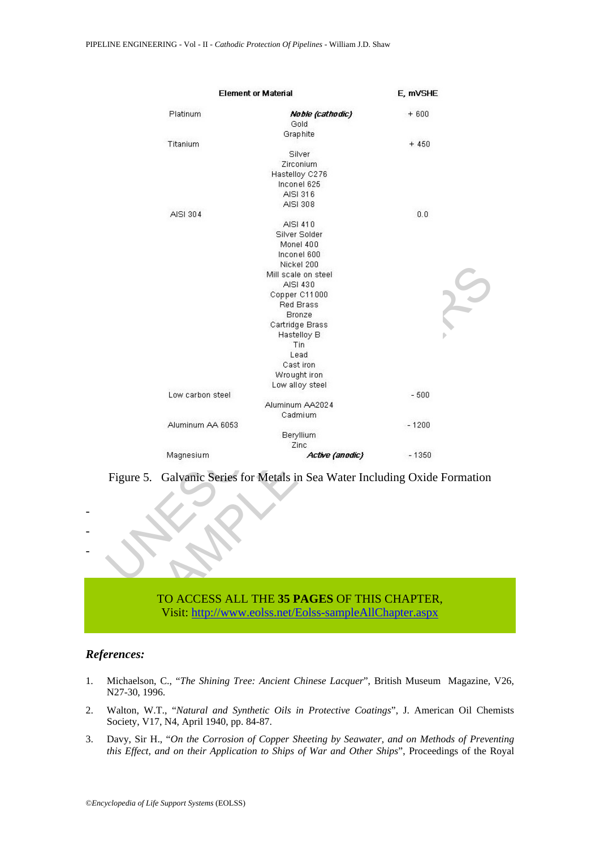| <b>Element or Material</b> |                                                                                                        | E, mVSHE |
|----------------------------|--------------------------------------------------------------------------------------------------------|----------|
| Platinum                   | Noble (cathodic)<br>Gold                                                                               | $+600$   |
|                            | Graphite                                                                                               |          |
| Titanium                   |                                                                                                        | $+450$   |
|                            | Silver                                                                                                 |          |
|                            | Zirconium                                                                                              |          |
|                            | Hastelloy C276                                                                                         |          |
|                            | Inconel 625                                                                                            |          |
|                            | AISI 316                                                                                               |          |
|                            | AISI 308                                                                                               |          |
| AISI 304                   |                                                                                                        | 0.0      |
|                            | AISI 410                                                                                               |          |
|                            | Silver Solder                                                                                          |          |
|                            | Monel 400                                                                                              |          |
|                            | Inconel 600                                                                                            |          |
|                            | Nickel 200                                                                                             |          |
|                            | Mill scale on steel                                                                                    |          |
|                            | AISI 430                                                                                               |          |
|                            | Copper C11000                                                                                          |          |
|                            | Red Brass                                                                                              |          |
|                            | Bronze                                                                                                 |          |
|                            | Cartridge Brass                                                                                        |          |
|                            | Hastelloy B                                                                                            |          |
|                            | Tin                                                                                                    |          |
|                            | Lead                                                                                                   |          |
|                            | Cast iron                                                                                              |          |
|                            | Wrought iron                                                                                           |          |
|                            | Low alloy steel                                                                                        |          |
| Low carbon steel           |                                                                                                        | $-500$   |
|                            | Aluminum AA2024                                                                                        |          |
|                            | Cadmium                                                                                                |          |
| Aluminum AA 6053           |                                                                                                        | $-1200$  |
|                            | Beryllium                                                                                              |          |
|                            | Zinc                                                                                                   |          |
| Magnesium                  | Active (anodic)                                                                                        | $-1350$  |
|                            | Figure 5. Galvanic Series for Metals in Sea Water Including Oxide Formation                            |          |
|                            | TO ACCESS ALL THE 35 PAGES OF THIS CHAPTER,<br>Visit: http://www.eolss.net/Eolss-sampleAllChapter.aspx |          |

Figure 5. Galvanic Series for Metals in Sea Water Including Oxide Formation

## TO ACCESS ALL THE **35 PAGES** OF THIS CHAPTER, Visit: http://www.eolss.net/Eolss-sampleAllChapter.aspx

#### *References:*

- - -

- 1. Michaelson, C., "*The Shining Tree: Ancient Chinese Lacquer*", British Museum Magazine, V26, N27-30, 1996.
- 2. Walton, W.T., "*Natural and Synthetic Oils in Protective Coatings*", J. American Oil Chemists Society, V17, N4, April 1940, pp. 84-87.
- 3. Davy, Sir H., "*On the Corrosion of Copper Sheeting by Seawater, and on Methods of Preventing this Effect, and on their Application to Ships of War and Other Ships*", Proceedings of the Royal